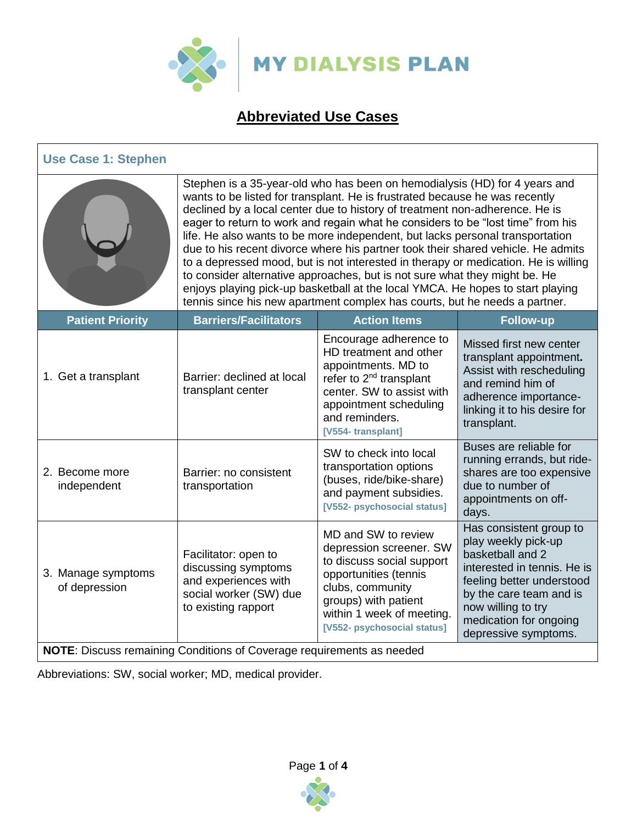

# **Abbreviated Use Cases**

| <b>Use Case 1: Stephen</b>          |                                                                                                                                                                                                                                                                                                                                                                                                                                                                                                                                                                                                                                                                                                                                                                                                                                      |                                                                                                                                                                                                              |                                                                                                                                                                                                                                   |  |
|-------------------------------------|--------------------------------------------------------------------------------------------------------------------------------------------------------------------------------------------------------------------------------------------------------------------------------------------------------------------------------------------------------------------------------------------------------------------------------------------------------------------------------------------------------------------------------------------------------------------------------------------------------------------------------------------------------------------------------------------------------------------------------------------------------------------------------------------------------------------------------------|--------------------------------------------------------------------------------------------------------------------------------------------------------------------------------------------------------------|-----------------------------------------------------------------------------------------------------------------------------------------------------------------------------------------------------------------------------------|--|
|                                     | Stephen is a 35-year-old who has been on hemodialysis (HD) for 4 years and<br>wants to be listed for transplant. He is frustrated because he was recently<br>declined by a local center due to history of treatment non-adherence. He is<br>eager to return to work and regain what he considers to be "lost time" from his<br>life. He also wants to be more independent, but lacks personal transportation<br>due to his recent divorce where his partner took their shared vehicle. He admits<br>to a depressed mood, but is not interested in therapy or medication. He is willing<br>to consider alternative approaches, but is not sure what they might be. He<br>enjoys playing pick-up basketball at the local YMCA. He hopes to start playing<br>tennis since his new apartment complex has courts, but he needs a partner. |                                                                                                                                                                                                              |                                                                                                                                                                                                                                   |  |
| <b>Patient Priority</b>             | <b>Barriers/Facilitators</b>                                                                                                                                                                                                                                                                                                                                                                                                                                                                                                                                                                                                                                                                                                                                                                                                         | <b>Action Items</b>                                                                                                                                                                                          | <b>Follow-up</b>                                                                                                                                                                                                                  |  |
| 1. Get a transplant                 | Barrier: declined at local<br>transplant center                                                                                                                                                                                                                                                                                                                                                                                                                                                                                                                                                                                                                                                                                                                                                                                      | Encourage adherence to<br>HD treatment and other<br>appointments. MD to<br>refer to 2 <sup>nd</sup> transplant<br>center. SW to assist with<br>appointment scheduling<br>and reminders.<br>[V554-transplant] | Missed first new center<br>transplant appointment.<br>Assist with rescheduling<br>and remind him of<br>adherence importance-<br>linking it to his desire for<br>transplant.                                                       |  |
| 2. Become more<br>independent       | Barrier: no consistent<br>transportation                                                                                                                                                                                                                                                                                                                                                                                                                                                                                                                                                                                                                                                                                                                                                                                             | SW to check into local<br>transportation options<br>(buses, ride/bike-share)<br>and payment subsidies.<br>[V552- psychosocial status]                                                                        | Buses are reliable for<br>running errands, but ride-<br>shares are too expensive<br>due to number of<br>appointments on off-<br>days.                                                                                             |  |
| 3. Manage symptoms<br>of depression | Facilitator: open to<br>discussing symptoms<br>and experiences with<br>social worker (SW) due<br>to existing rapport<br>NOTE: Discuss remaining Conditions of Coverage requirements as needed                                                                                                                                                                                                                                                                                                                                                                                                                                                                                                                                                                                                                                        | MD and SW to review<br>depression screener. SW<br>to discuss social support<br>opportunities (tennis<br>clubs, community<br>groups) with patient<br>within 1 week of meeting.<br>[V552- psychosocial status] | Has consistent group to<br>play weekly pick-up<br>basketball and 2<br>interested in tennis. He is<br>feeling better understood<br>by the care team and is<br>now willing to try<br>medication for ongoing<br>depressive symptoms. |  |

Abbreviations: SW, social worker; MD, medical provider.

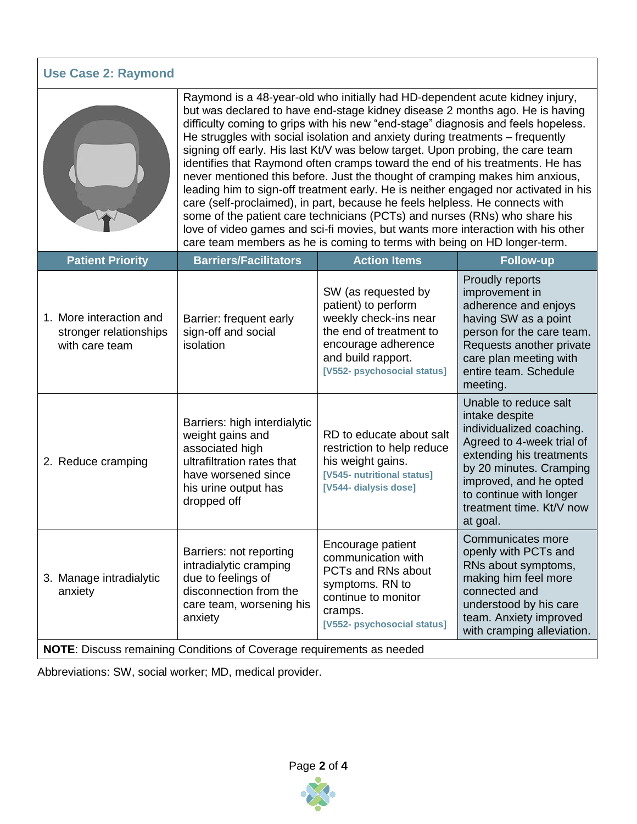| <b>Use Case 2: Raymond</b>                                            |                                                                                                                                                                                                                                                                                                                                                                                                                                                                                                                                                                                                                                                                                                                                                                                                                                                                                                                                                                                                            |                                                                                                                                                                            |                                                                                                                                                                                                                                                      |  |
|-----------------------------------------------------------------------|------------------------------------------------------------------------------------------------------------------------------------------------------------------------------------------------------------------------------------------------------------------------------------------------------------------------------------------------------------------------------------------------------------------------------------------------------------------------------------------------------------------------------------------------------------------------------------------------------------------------------------------------------------------------------------------------------------------------------------------------------------------------------------------------------------------------------------------------------------------------------------------------------------------------------------------------------------------------------------------------------------|----------------------------------------------------------------------------------------------------------------------------------------------------------------------------|------------------------------------------------------------------------------------------------------------------------------------------------------------------------------------------------------------------------------------------------------|--|
|                                                                       | Raymond is a 48-year-old who initially had HD-dependent acute kidney injury,<br>but was declared to have end-stage kidney disease 2 months ago. He is having<br>difficulty coming to grips with his new "end-stage" diagnosis and feels hopeless.<br>He struggles with social isolation and anxiety during treatments – frequently<br>signing off early. His last Kt/V was below target. Upon probing, the care team<br>identifies that Raymond often cramps toward the end of his treatments. He has<br>never mentioned this before. Just the thought of cramping makes him anxious,<br>leading him to sign-off treatment early. He is neither engaged nor activated in his<br>care (self-proclaimed), in part, because he feels helpless. He connects with<br>some of the patient care technicians (PCTs) and nurses (RNs) who share his<br>love of video games and sci-fi movies, but wants more interaction with his other<br>care team members as he is coming to terms with being on HD longer-term. |                                                                                                                                                                            |                                                                                                                                                                                                                                                      |  |
| <b>Patient Priority</b>                                               | <b>Barriers/Facilitators</b>                                                                                                                                                                                                                                                                                                                                                                                                                                                                                                                                                                                                                                                                                                                                                                                                                                                                                                                                                                               | <b>Action Items</b>                                                                                                                                                        | <b>Follow-up</b>                                                                                                                                                                                                                                     |  |
| 1. More interaction and<br>stronger relationships<br>with care team   | Barrier: frequent early<br>sign-off and social<br>isolation                                                                                                                                                                                                                                                                                                                                                                                                                                                                                                                                                                                                                                                                                                                                                                                                                                                                                                                                                | SW (as requested by<br>patient) to perform<br>weekly check-ins near<br>the end of treatment to<br>encourage adherence<br>and build rapport.<br>[V552- psychosocial status] | Proudly reports<br>improvement in<br>adherence and enjoys<br>having SW as a point<br>person for the care team.<br>Requests another private<br>care plan meeting with<br>entire team. Schedule<br>meeting.                                            |  |
| 2. Reduce cramping                                                    | Barriers: high interdialytic<br>weight gains and<br>associated high<br>ultrafiltration rates that<br>have worsened since<br>his urine output has<br>dropped off                                                                                                                                                                                                                                                                                                                                                                                                                                                                                                                                                                                                                                                                                                                                                                                                                                            | RD to educate about salt<br>restriction to help reduce<br>his weight gains.<br>[V545- nutritional status]<br>[V544- dialysis dose]                                         | Unable to reduce salt<br>intake despite<br>individualized coaching.<br>Agreed to 4-week trial of<br>extending his treatments<br>by 20 minutes. Cramping<br>improved, and he opted<br>to continue with longer<br>treatment time. Kt/V now<br>at goal. |  |
| 3. Manage intradialytic<br>anxiety                                    | Barriers: not reporting<br>intradialytic cramping<br>due to feelings of<br>disconnection from the<br>care team, worsening his<br>anxiety                                                                                                                                                                                                                                                                                                                                                                                                                                                                                                                                                                                                                                                                                                                                                                                                                                                                   | Encourage patient<br>communication with<br>PCTs and RNs about<br>symptoms. RN to<br>continue to monitor<br>cramps.<br>[V552- psychosocial status]                          | Communicates more<br>openly with PCTs and<br>RNs about symptoms,<br>making him feel more<br>connected and<br>understood by his care<br>team. Anxiety improved<br>with cramping alleviation.                                                          |  |
| NOTE: Discuss remaining Conditions of Coverage requirements as needed |                                                                                                                                                                                                                                                                                                                                                                                                                                                                                                                                                                                                                                                                                                                                                                                                                                                                                                                                                                                                            |                                                                                                                                                                            |                                                                                                                                                                                                                                                      |  |

Abbreviations: SW, social worker; MD, medical provider.

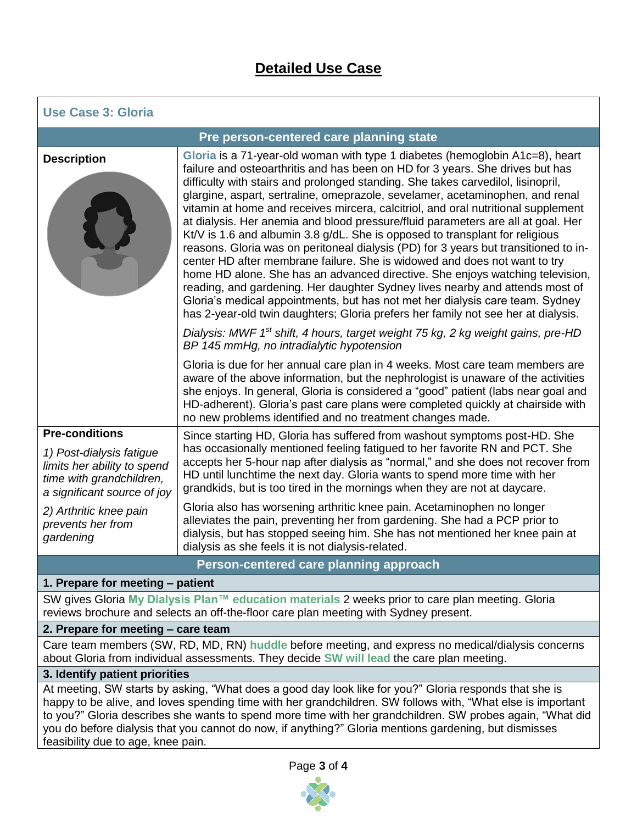## **Detailed Use Case**

| <b>Use Case 3: Gloria</b>                                                                                          |                                                                                                                                                                                                                                                                                                                                                                                                                                                                                                                                                                                                                                                                                                                                                                                                                                                                                                                                                                                                                                                                                                        |  |  |
|--------------------------------------------------------------------------------------------------------------------|--------------------------------------------------------------------------------------------------------------------------------------------------------------------------------------------------------------------------------------------------------------------------------------------------------------------------------------------------------------------------------------------------------------------------------------------------------------------------------------------------------------------------------------------------------------------------------------------------------------------------------------------------------------------------------------------------------------------------------------------------------------------------------------------------------------------------------------------------------------------------------------------------------------------------------------------------------------------------------------------------------------------------------------------------------------------------------------------------------|--|--|
| Pre person-centered care planning state                                                                            |                                                                                                                                                                                                                                                                                                                                                                                                                                                                                                                                                                                                                                                                                                                                                                                                                                                                                                                                                                                                                                                                                                        |  |  |
| <b>Description</b>                                                                                                 | Gloria is a 71-year-old woman with type 1 diabetes (hemoglobin A1c=8), heart<br>failure and osteoarthritis and has been on HD for 3 years. She drives but has<br>difficulty with stairs and prolonged standing. She takes carvedilol, lisinopril,<br>glargine, aspart, sertraline, omeprazole, sevelamer, acetaminophen, and renal<br>vitamin at home and receives mircera, calcitriol, and oral nutritional supplement<br>at dialysis. Her anemia and blood pressure/fluid parameters are all at goal. Her<br>Kt/V is 1.6 and albumin 3.8 g/dL. She is opposed to transplant for religious<br>reasons. Gloria was on peritoneal dialysis (PD) for 3 years but transitioned to in-<br>center HD after membrane failure. She is widowed and does not want to try<br>home HD alone. She has an advanced directive. She enjoys watching television,<br>reading, and gardening. Her daughter Sydney lives nearby and attends most of<br>Gloria's medical appointments, but has not met her dialysis care team. Sydney<br>has 2-year-old twin daughters; Gloria prefers her family not see her at dialysis. |  |  |
|                                                                                                                    | Dialysis: MWF 1 <sup>st</sup> shift, 4 hours, target weight 75 kg, 2 kg weight gains, pre-HD<br>BP 145 mmHg, no intradialytic hypotension                                                                                                                                                                                                                                                                                                                                                                                                                                                                                                                                                                                                                                                                                                                                                                                                                                                                                                                                                              |  |  |
|                                                                                                                    | Gloria is due for her annual care plan in 4 weeks. Most care team members are<br>aware of the above information, but the nephrologist is unaware of the activities<br>she enjoys. In general, Gloria is considered a "good" patient (labs near goal and<br>HD-adherent). Gloria's past care plans were completed quickly at chairside with<br>no new problems identified and no treatment changes made.                                                                                                                                                                                                                                                                                                                                                                                                                                                                                                                                                                                                                                                                                                |  |  |
| <b>Pre-conditions</b>                                                                                              | Since starting HD, Gloria has suffered from washout symptoms post-HD. She                                                                                                                                                                                                                                                                                                                                                                                                                                                                                                                                                                                                                                                                                                                                                                                                                                                                                                                                                                                                                              |  |  |
| 1) Post-dialysis fatigue<br>limits her ability to spend<br>time with grandchildren,<br>a significant source of joy | has occasionally mentioned feeling fatigued to her favorite RN and PCT. She<br>accepts her 5-hour nap after dialysis as "normal," and she does not recover from<br>HD until lunchtime the next day. Gloria wants to spend more time with her<br>grandkids, but is too tired in the mornings when they are not at daycare.                                                                                                                                                                                                                                                                                                                                                                                                                                                                                                                                                                                                                                                                                                                                                                              |  |  |
| 2) Arthritic knee pain<br>prevents her from<br>gardening                                                           | Gloria also has worsening arthritic knee pain. Acetaminophen no longer<br>alleviates the pain, preventing her from gardening. She had a PCP prior to<br>dialysis, but has stopped seeing him. She has not mentioned her knee pain at<br>dialysis as she feels it is not dialysis-related.                                                                                                                                                                                                                                                                                                                                                                                                                                                                                                                                                                                                                                                                                                                                                                                                              |  |  |
| Person-centered care planning approach                                                                             |                                                                                                                                                                                                                                                                                                                                                                                                                                                                                                                                                                                                                                                                                                                                                                                                                                                                                                                                                                                                                                                                                                        |  |  |
| 1. Prepare for meeting - patient                                                                                   |                                                                                                                                                                                                                                                                                                                                                                                                                                                                                                                                                                                                                                                                                                                                                                                                                                                                                                                                                                                                                                                                                                        |  |  |
| SW gives Gloria My Dialysis Plan™ education materials 2 weeks prior to care plan meeting. Gloria                   |                                                                                                                                                                                                                                                                                                                                                                                                                                                                                                                                                                                                                                                                                                                                                                                                                                                                                                                                                                                                                                                                                                        |  |  |

reviews brochure and selects an off-the-floor care plan meeting with Sydney present.

## **2. Prepare for meeting – care team**

Care team members (SW, RD, MD, RN) **huddle** before meeting, and express no medical/dialysis concerns about Gloria from individual assessments. They decide **SW will lead** the care plan meeting.

### **3. Identify patient priorities**

At meeting, SW starts by asking, "What does a good day look like for you?" Gloria responds that she is happy to be alive, and loves spending time with her grandchildren. SW follows with, "What else is important to you?" Gloria describes she wants to spend more time with her grandchildren. SW probes again, "What did you do before dialysis that you cannot do now, if anything?" Gloria mentions gardening, but dismisses feasibility due to age, knee pain.